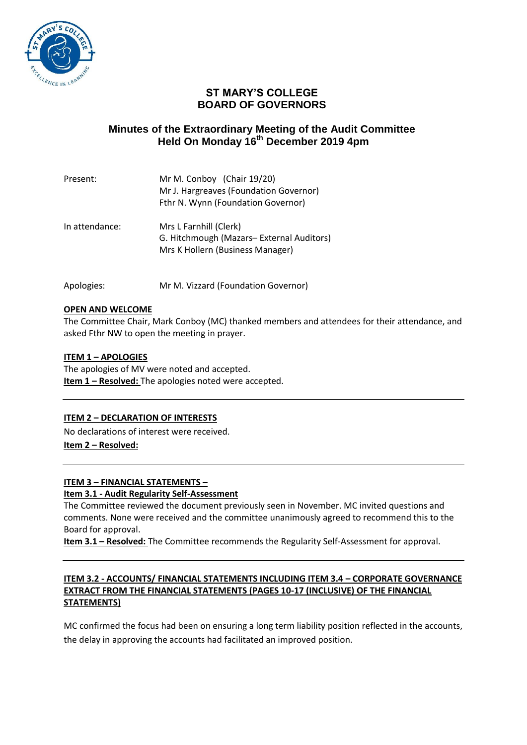

# **ST MARY'S COLLEGE BOARD OF GOVERNORS**

# **Minutes of the Extraordinary Meeting of the Audit Committee Held On Monday 16th December 2019 4pm**

| Present:       | Mr M. Conboy (Chair 19/20)<br>Mr J. Hargreaves (Foundation Governor)<br>Fthr N. Wynn (Foundation Governor) |
|----------------|------------------------------------------------------------------------------------------------------------|
| In attendance: | Mrs L Farnhill (Clerk)<br>G. Hitchmough (Mazars-External Auditors)<br>Mrs K Hollern (Business Manager)     |

Apologies: Mr M. Vizzard (Foundation Governor)

### **OPEN AND WELCOME**

The Committee Chair, Mark Conboy (MC) thanked members and attendees for their attendance, and asked Fthr NW to open the meeting in prayer.

### **ITEM 1 – APOLOGIES**

The apologies of MV were noted and accepted. **Item 1 - Resolved:** The apologies noted were accepted.

## **ITEM 2 – DECLARATION OF INTERESTS**

No declarations of interest were received. **Item 2 – Resolved:** 

## **ITEM 3 – FINANCIAL STATEMENTS –**

#### **Item 3.1 - Audit Regularity Self-Assessment**

The Committee reviewed the document previously seen in November. MC invited questions and comments. None were received and the committee unanimously agreed to recommend this to the Board for approval.

**Item 3.1 – Resolved:** The Committee recommends the Regularity Self-Assessment for approval.

### **ITEM 3.2 - ACCOUNTS/ FINANCIAL STATEMENTS INCLUDING ITEM 3.4 – CORPORATE GOVERNANCE EXTRACT FROM THE FINANCIAL STATEMENTS (PAGES 10-17 (INCLUSIVE) OF THE FINANCIAL STATEMENTS)**

MC confirmed the focus had been on ensuring a long term liability position reflected in the accounts, the delay in approving the accounts had facilitated an improved position.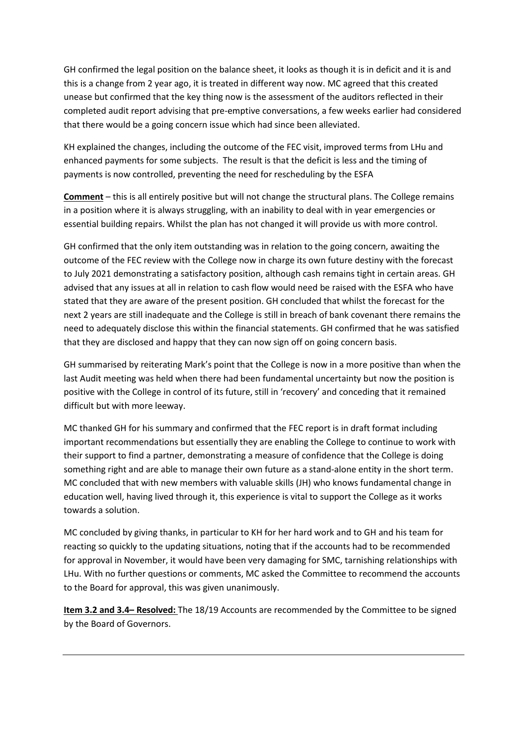GH confirmed the legal position on the balance sheet, it looks as though it is in deficit and it is and this is a change from 2 year ago, it is treated in different way now. MC agreed that this created unease but confirmed that the key thing now is the assessment of the auditors reflected in their completed audit report advising that pre-emptive conversations, a few weeks earlier had considered that there would be a going concern issue which had since been alleviated.

KH explained the changes, including the outcome of the FEC visit, improved terms from LHu and enhanced payments for some subjects. The result is that the deficit is less and the timing of payments is now controlled, preventing the need for rescheduling by the ESFA

**Comment** – this is all entirely positive but will not change the structural plans. The College remains in a position where it is always struggling, with an inability to deal with in year emergencies or essential building repairs. Whilst the plan has not changed it will provide us with more control.

GH confirmed that the only item outstanding was in relation to the going concern, awaiting the outcome of the FEC review with the College now in charge its own future destiny with the forecast to July 2021 demonstrating a satisfactory position, although cash remains tight in certain areas. GH advised that any issues at all in relation to cash flow would need be raised with the ESFA who have stated that they are aware of the present position. GH concluded that whilst the forecast for the next 2 years are still inadequate and the College is still in breach of bank covenant there remains the need to adequately disclose this within the financial statements. GH confirmed that he was satisfied that they are disclosed and happy that they can now sign off on going concern basis.

GH summarised by reiterating Mark's point that the College is now in a more positive than when the last Audit meeting was held when there had been fundamental uncertainty but now the position is positive with the College in control of its future, still in 'recovery' and conceding that it remained difficult but with more leeway.

MC thanked GH for his summary and confirmed that the FEC report is in draft format including important recommendations but essentially they are enabling the College to continue to work with their support to find a partner, demonstrating a measure of confidence that the College is doing something right and are able to manage their own future as a stand-alone entity in the short term. MC concluded that with new members with valuable skills (JH) who knows fundamental change in education well, having lived through it, this experience is vital to support the College as it works towards a solution.

MC concluded by giving thanks, in particular to KH for her hard work and to GH and his team for reacting so quickly to the updating situations, noting that if the accounts had to be recommended for approval in November, it would have been very damaging for SMC, tarnishing relationships with LHu. With no further questions or comments, MC asked the Committee to recommend the accounts to the Board for approval, this was given unanimously.

**Item 3.2 and 3.4– Resolved:** The 18/19 Accounts are recommended by the Committee to be signed by the Board of Governors.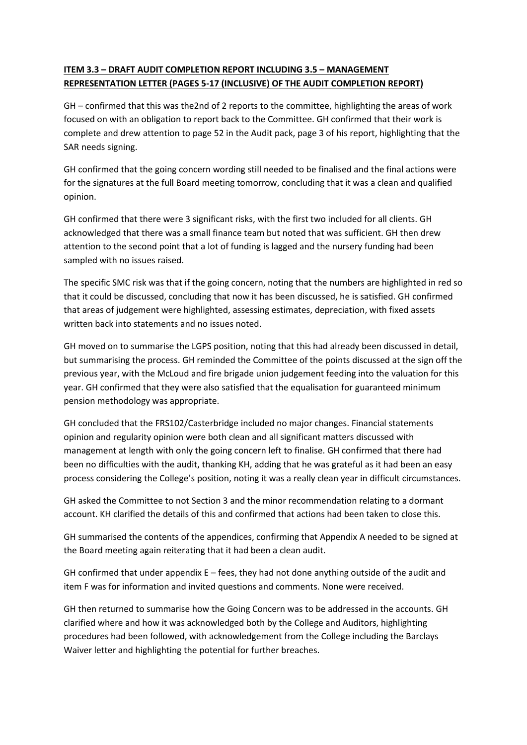# **ITEM 3.3 – DRAFT AUDIT COMPLETION REPORT INCLUDING 3.5 – MANAGEMENT REPRESENTATION LETTER (PAGES 5-17 (INCLUSIVE) OF THE AUDIT COMPLETION REPORT)**

GH – confirmed that this was the2nd of 2 reports to the committee, highlighting the areas of work focused on with an obligation to report back to the Committee. GH confirmed that their work is complete and drew attention to page 52 in the Audit pack, page 3 of his report, highlighting that the SAR needs signing.

GH confirmed that the going concern wording still needed to be finalised and the final actions were for the signatures at the full Board meeting tomorrow, concluding that it was a clean and qualified opinion.

GH confirmed that there were 3 significant risks, with the first two included for all clients. GH acknowledged that there was a small finance team but noted that was sufficient. GH then drew attention to the second point that a lot of funding is lagged and the nursery funding had been sampled with no issues raised.

The specific SMC risk was that if the going concern, noting that the numbers are highlighted in red so that it could be discussed, concluding that now it has been discussed, he is satisfied. GH confirmed that areas of judgement were highlighted, assessing estimates, depreciation, with fixed assets written back into statements and no issues noted.

GH moved on to summarise the LGPS position, noting that this had already been discussed in detail, but summarising the process. GH reminded the Committee of the points discussed at the sign off the previous year, with the McLoud and fire brigade union judgement feeding into the valuation for this year. GH confirmed that they were also satisfied that the equalisation for guaranteed minimum pension methodology was appropriate.

GH concluded that the FRS102/Casterbridge included no major changes. Financial statements opinion and regularity opinion were both clean and all significant matters discussed with management at length with only the going concern left to finalise. GH confirmed that there had been no difficulties with the audit, thanking KH, adding that he was grateful as it had been an easy process considering the College's position, noting it was a really clean year in difficult circumstances.

GH asked the Committee to not Section 3 and the minor recommendation relating to a dormant account. KH clarified the details of this and confirmed that actions had been taken to close this.

GH summarised the contents of the appendices, confirming that Appendix A needed to be signed at the Board meeting again reiterating that it had been a clean audit.

GH confirmed that under appendix  $E - f$ ees, they had not done anything outside of the audit and item F was for information and invited questions and comments. None were received.

GH then returned to summarise how the Going Concern was to be addressed in the accounts. GH clarified where and how it was acknowledged both by the College and Auditors, highlighting procedures had been followed, with acknowledgement from the College including the Barclays Waiver letter and highlighting the potential for further breaches.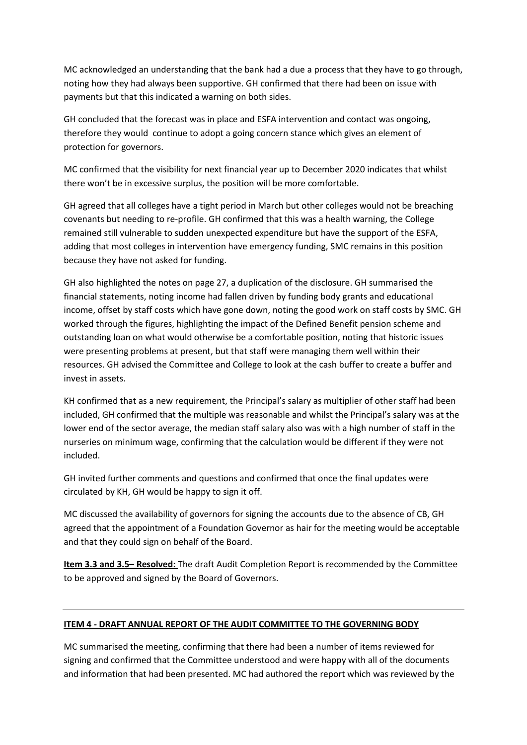MC acknowledged an understanding that the bank had a due a process that they have to go through, noting how they had always been supportive. GH confirmed that there had been on issue with payments but that this indicated a warning on both sides.

GH concluded that the forecast was in place and ESFA intervention and contact was ongoing, therefore they would continue to adopt a going concern stance which gives an element of protection for governors.

MC confirmed that the visibility for next financial year up to December 2020 indicates that whilst there won't be in excessive surplus, the position will be more comfortable.

GH agreed that all colleges have a tight period in March but other colleges would not be breaching covenants but needing to re-profile. GH confirmed that this was a health warning, the College remained still vulnerable to sudden unexpected expenditure but have the support of the ESFA, adding that most colleges in intervention have emergency funding, SMC remains in this position because they have not asked for funding.

GH also highlighted the notes on page 27, a duplication of the disclosure. GH summarised the financial statements, noting income had fallen driven by funding body grants and educational income, offset by staff costs which have gone down, noting the good work on staff costs by SMC. GH worked through the figures, highlighting the impact of the Defined Benefit pension scheme and outstanding loan on what would otherwise be a comfortable position, noting that historic issues were presenting problems at present, but that staff were managing them well within their resources. GH advised the Committee and College to look at the cash buffer to create a buffer and invest in assets.

KH confirmed that as a new requirement, the Principal's salary as multiplier of other staff had been included, GH confirmed that the multiple was reasonable and whilst the Principal's salary was at the lower end of the sector average, the median staff salary also was with a high number of staff in the nurseries on minimum wage, confirming that the calculation would be different if they were not included.

GH invited further comments and questions and confirmed that once the final updates were circulated by KH, GH would be happy to sign it off.

MC discussed the availability of governors for signing the accounts due to the absence of CB, GH agreed that the appointment of a Foundation Governor as hair for the meeting would be acceptable and that they could sign on behalf of the Board.

**Item 3.3 and 3.5– Resolved:** The draft Audit Completion Report is recommended by the Committee to be approved and signed by the Board of Governors.

## **ITEM 4 - DRAFT ANNUAL REPORT OF THE AUDIT COMMITTEE TO THE GOVERNING BODY**

MC summarised the meeting, confirming that there had been a number of items reviewed for signing and confirmed that the Committee understood and were happy with all of the documents and information that had been presented. MC had authored the report which was reviewed by the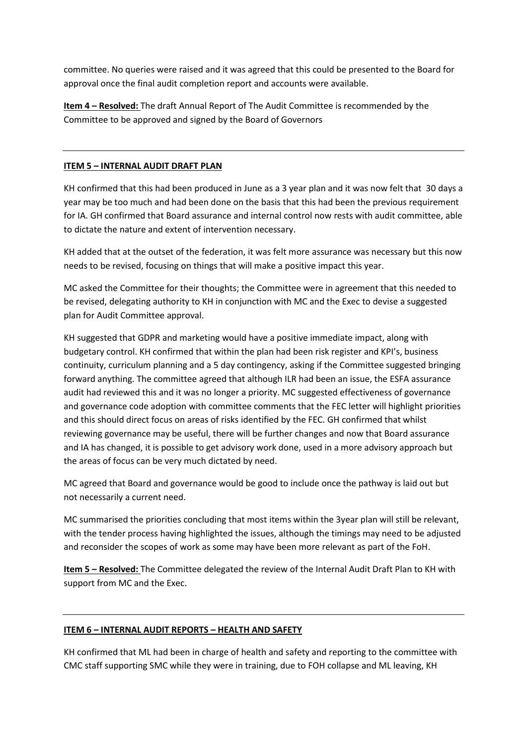committee. No queries were raised and it was agreed that this could be presented to the Board for approval once the final audit completion report and accounts were available.

**Item 4 – Resolved:** The draft Annual Report of The Audit Committee is recommended by the Committee to be approved and signed by the Board of Governors

### **ITEM 5 – INTERNAL AUDIT DRAFT PLAN**

KH confirmed that this had been produced in June as a 3 year plan and it was now felt that 30 days a year may be too much and had been done on the basis that this had been the previous requirement for IA. GH confirmed that Board assurance and internal control now rests with audit committee, able to dictate the nature and extent of intervention necessary.

KH added that at the outset of the federation, it was felt more assurance was necessary but this now needs to be revised, focusing on things that will make a positive impact this year.

MC asked the Committee for their thoughts; the Committee were in agreement that this needed to be revised, delegating authority to KH in conjunction with MC and the Exec to devise a suggested plan for Audit Committee approval.

KH suggested that GDPR and marketing would have a positive immediate impact, along with budgetary control. KH confirmed that within the plan had been risk register and KPI's, business continuity, curriculum planning and a 5 day contingency, asking if the Committee suggested bringing forward anything. The committee agreed that although ILR had been an issue, the ESFA assurance audit had reviewed this and it was no longer a priority. MC suggested effectiveness of governance and governance code adoption with committee comments that the FEC letter will highlight priorities and this should direct focus on areas of risks identified by the FEC. GH confirmed that whilst reviewing governance may be useful, there will be further changes and now that Board assurance and IA has changed, it is possible to get advisory work done, used in a more advisory approach but the areas of focus can be very much dictated by need.

MC agreed that Board and governance would be good to include once the pathway is laid out but not necessarily a current need.

MC summarised the priorities concluding that most items within the 3year plan will still be relevant, with the tender process having highlighted the issues, although the timings may need to be adjusted and reconsider the scopes of work as some may have been more relevant as part of the FoH.

**Item 5 – Resolved:** The Committee delegated the review of the Internal Audit Draft Plan to KH with support from MC and the Exec.

#### **ITEM 6 – INTERNAL AUDIT REPORTS – HEALTH AND SAFETY**

KH confirmed that ML had been in charge of health and safety and reporting to the committee with CMC staff supporting SMC while they were in training, due to FOH collapse and ML leaving, KH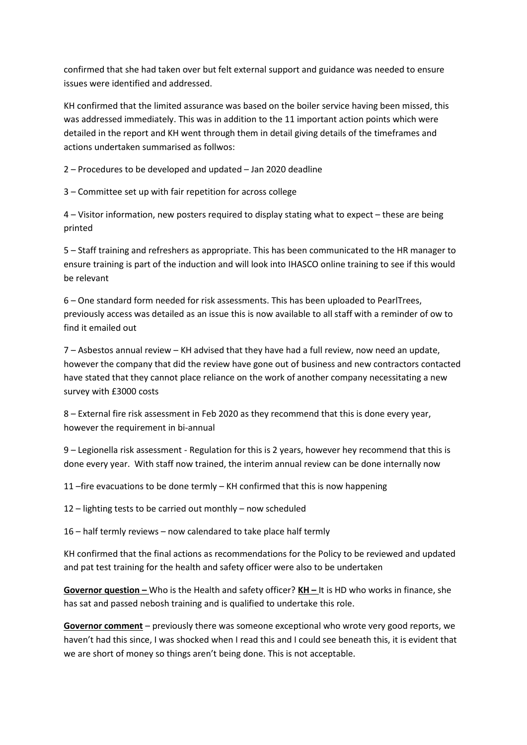confirmed that she had taken over but felt external support and guidance was needed to ensure issues were identified and addressed.

KH confirmed that the limited assurance was based on the boiler service having been missed, this was addressed immediately. This was in addition to the 11 important action points which were detailed in the report and KH went through them in detail giving details of the timeframes and actions undertaken summarised as follwos:

2 – Procedures to be developed and updated – Jan 2020 deadline

3 – Committee set up with fair repetition for across college

4 – Visitor information, new posters required to display stating what to expect – these are being printed

5 – Staff training and refreshers as appropriate. This has been communicated to the HR manager to ensure training is part of the induction and will look into IHASCO online training to see if this would be relevant

6 – One standard form needed for risk assessments. This has been uploaded to PearlTrees, previously access was detailed as an issue this is now available to all staff with a reminder of ow to find it emailed out

7 – Asbestos annual review – KH advised that they have had a full review, now need an update, however the company that did the review have gone out of business and new contractors contacted have stated that they cannot place reliance on the work of another company necessitating a new survey with £3000 costs

8 – External fire risk assessment in Feb 2020 as they recommend that this is done every year, however the requirement in bi-annual

9 – Legionella risk assessment - Regulation for this is 2 years, however hey recommend that this is done every year. With staff now trained, the interim annual review can be done internally now

11 –fire evacuations to be done termly – KH confirmed that this is now happening

12 – lighting tests to be carried out monthly – now scheduled

16 – half termly reviews – now calendared to take place half termly

KH confirmed that the final actions as recommendations for the Policy to be reviewed and updated and pat test training for the health and safety officer were also to be undertaken

**Governor question –** Who is the Health and safety officer? **KH –** It is HD who works in finance, she has sat and passed nebosh training and is qualified to undertake this role.

**Governor comment** – previously there was someone exceptional who wrote very good reports, we haven't had this since, I was shocked when I read this and I could see beneath this, it is evident that we are short of money so things aren't being done. This is not acceptable.